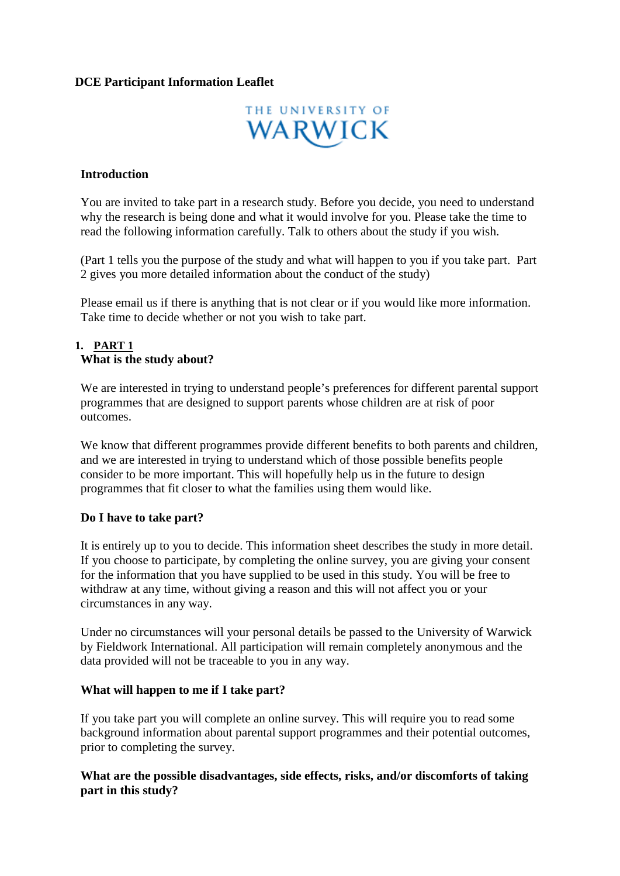## **DCE Participant Information Leaflet**



#### **Introduction**

You are invited to take part in a research study. Before you decide, you need to understand why the research is being done and what it would involve for you. Please take the time to read the following information carefully. Talk to others about the study if you wish.

(Part 1 tells you the purpose of the study and what will happen to you if you take part. Part 2 gives you more detailed information about the conduct of the study)

Please email us if there is anything that is not clear or if you would like more information. Take time to decide whether or not you wish to take part.

#### **1. PART 1 What is the study about?**

We are interested in trying to understand people's preferences for different parental support programmes that are designed to support parents whose children are at risk of poor outcomes.

We know that different programmes provide different benefits to both parents and children, and we are interested in trying to understand which of those possible benefits people consider to be more important. This will hopefully help us in the future to design programmes that fit closer to what the families using them would like.

#### **Do I have to take part?**

It is entirely up to you to decide. This information sheet describes the study in more detail. If you choose to participate, by completing the online survey, you are giving your consent for the information that you have supplied to be used in this study. You will be free to withdraw at any time, without giving a reason and this will not affect you or your circumstances in any way.

Under no circumstances will your personal details be passed to the University of Warwick by Fieldwork International. All participation will remain completely anonymous and the data provided will not be traceable to you in any way.

## **What will happen to me if I take part?**

If you take part you will complete an online survey. This will require you to read some background information about parental support programmes and their potential outcomes, prior to completing the survey.

#### **What are the possible disadvantages, side effects, risks, and/or discomforts of taking part in this study?**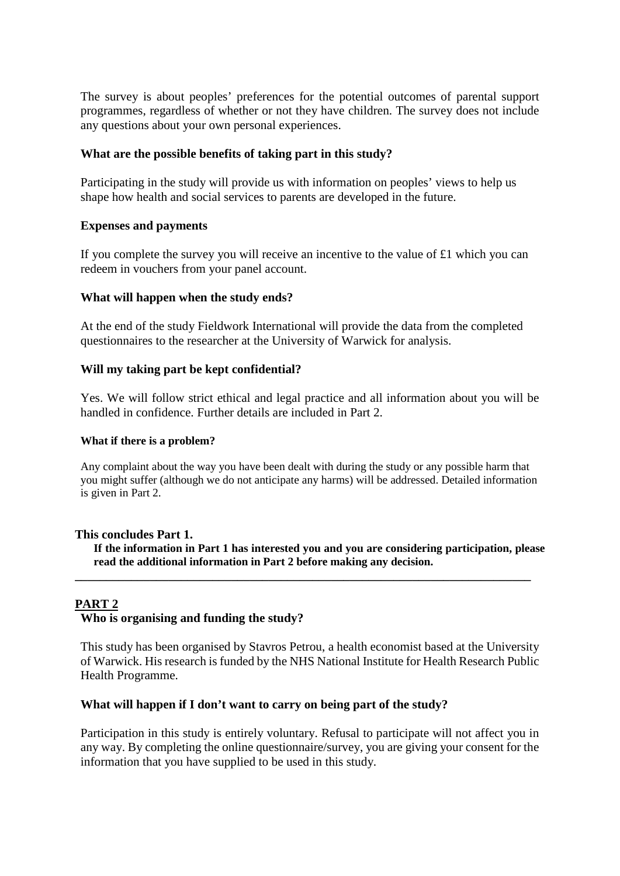The survey is about peoples' preferences for the potential outcomes of parental support programmes, regardless of whether or not they have children. The survey does not include any questions about your own personal experiences.

## **What are the possible benefits of taking part in this study?**

Participating in the study will provide us with information on peoples' views to help us shape how health and social services to parents are developed in the future.

## **Expenses and payments**

If you complete the survey you will receive an incentive to the value of £1 which you can redeem in vouchers from your panel account.

## **What will happen when the study ends?**

At the end of the study Fieldwork International will provide the data from the completed questionnaires to the researcher at the University of Warwick for analysis.

## **Will my taking part be kept confidential?**

Yes. We will follow strict ethical and legal practice and all information about you will be handled in confidence. Further details are included in Part 2.

#### **What if there is a problem?**

Any complaint about the way you have been dealt with during the study or any possible harm that you might suffer (although we do not anticipate any harms) will be addressed. Detailed information is given in Part 2.

#### **This concludes Part 1.**

**If the information in Part 1 has interested you and you are considering participation, please read the additional information in Part 2 before making any decision.**

**\_\_\_\_\_\_\_\_\_\_\_\_\_\_\_\_\_\_\_\_\_\_\_\_\_\_\_\_\_\_\_\_\_\_\_\_\_\_\_\_\_\_\_\_\_\_\_\_\_\_\_\_\_\_\_\_\_\_\_\_\_\_\_\_\_\_\_\_\_\_\_\_\_**

#### **PART 2**

#### **Who is organising and funding the study?**

This study has been organised by Stavros Petrou, a health economist based at the University of Warwick. His research is funded by the NHS National Institute for Health Research Public Health Programme.

#### **What will happen if I don't want to carry on being part of the study?**

Participation in this study is entirely voluntary. Refusal to participate will not affect you in any way. By completing the online questionnaire/survey, you are giving your consent for the information that you have supplied to be used in this study.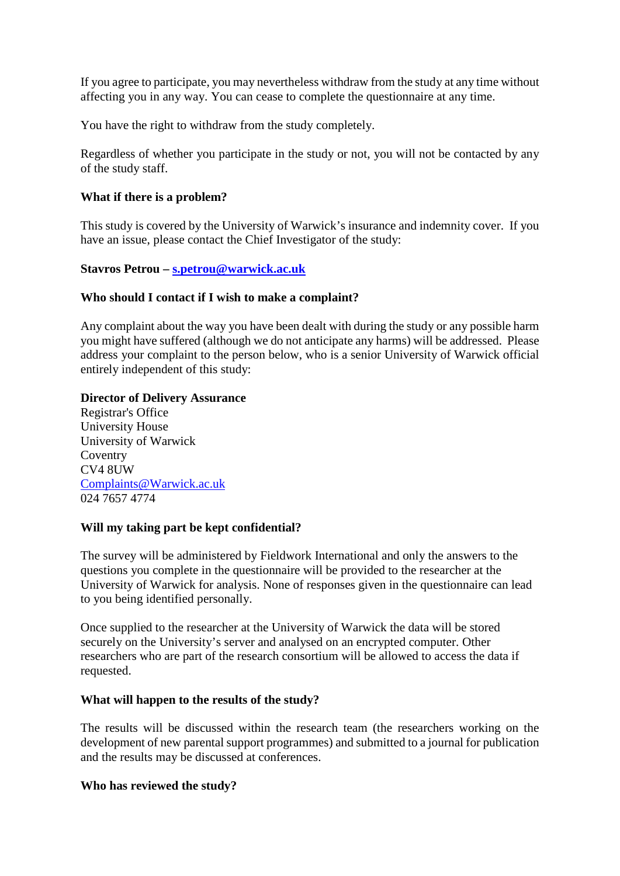If you agree to participate, you may nevertheless withdraw from the study at any time without affecting you in any way. You can cease to complete the questionnaire at any time.

You have the right to withdraw from the study completely.

Regardless of whether you participate in the study or not, you will not be contacted by any of the study staff.

# **What if there is a problem?**

This study is covered by the University of Warwick's insurance and indemnity cover. If you have an issue, please contact the Chief Investigator of the study:

## **Stavros Petrou – [s.petrou@warwick.ac.uk](mailto:s.petrou@warwick.ac.uk)**

## **Who should I contact if I wish to make a complaint?**

Any complaint about the way you have been dealt with during the study or any possible harm you might have suffered (although we do not anticipate any harms) will be addressed. Please address your complaint to the person below, who is a senior University of Warwick official entirely independent of this study:

## **Director of Delivery Assurance**

Registrar's Office University House University of Warwick Coventry CV4 8UW [Complaints@Warwick.ac.uk](mailto:Complaints@Warwick.ac.uk) 024 7657 4774

# **Will my taking part be kept confidential?**

The survey will be administered by Fieldwork International and only the answers to the questions you complete in the questionnaire will be provided to the researcher at the University of Warwick for analysis. None of responses given in the questionnaire can lead to you being identified personally.

Once supplied to the researcher at the University of Warwick the data will be stored securely on the University's server and analysed on an encrypted computer. Other researchers who are part of the research consortium will be allowed to access the data if requested.

#### **What will happen to the results of the study?**

The results will be discussed within the research team (the researchers working on the development of new parental support programmes) and submitted to a journal for publication and the results may be discussed at conferences.

#### **Who has reviewed the study?**